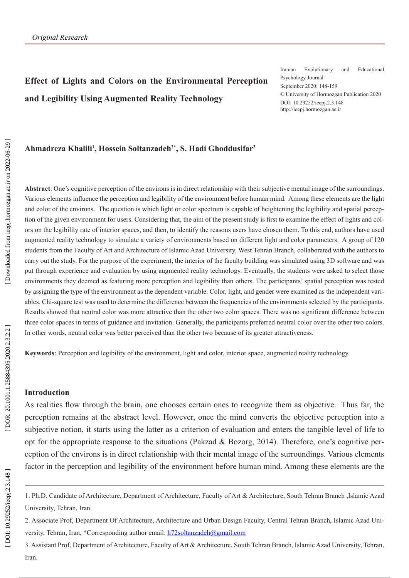# **Effect of Lights and Colors on the Environmental Perception and Legibility Using Augmented Reality Technology**

Iranian Evolutionary and Educational Psychology Journal September 2020: 148-159 © University of Hormozgan Publication 2020 DOI: 10.29252/ieepj.2.3.148 http://ieepj.hormozgan.ac.ir

# Ahmadreza Khalili<sup>1</sup>, Hossein Soltanzadeh<sup>2\*</sup>, S. Hadi Ghoddusifar<sup>3</sup>

**Abstract**: One's cognitive perception of the environs is in direct relationship with their subjective mental image of the surroundings. Various elements influence the perception and legibility of the environment before human mind. Among these elements are the light and color of the environs. The question is which light or color spectrum is capable of heightening the legibility and spatial percep tion of the given environment for users. Considering that, the aim of the present study is first to examine the effect of lights and col ors on the legibility rate of interior spaces, and then, to identify the reasons users have chosen them. To this end, authors have used augmented reality technology to simulate a variety of environments based on different light and color parameters. A group of 120 students from the Faculty of Art and Architecture of Islamic Azad University, West Tehran Branch, collaborated with the authors to carry out the study. For the purpose of the experiment, the interior of the faculty building was simulated using 3D software and was put through experience and evaluation by using augmented reality technology. Eventually, the students were asked to select those environments they deemed as featuring more perception and legibility than others. The participants' spatial perception was tested by assigning the type of the environment as the dependent variable. Color, light, and gender were examined as the independent vari ables. Chi-square test was used to determine the difference between the frequencies of the environments selected by the participants. Results showed that neutral color was more attractive than the other two color spaces. There was no significant difference between three color spaces in terms of guidance and invitation. Generally, the participants preferred neutral color over the other two colors. In other words, neutral color was better perceived than the other two because of its greater attractiveness.

**Keywords**: Perception and legibility of the environment, light and color, interior space, augmented reality technology.

## **Introduction**

As realities flow through the brain, one chooses certain ones to recognize them as objective. Thus far, the perception remains at the abstract level. However, once the mind converts the objective perception into a subjective notion, it starts using the latter as a criterion of evaluation and enters the tangible level of life to opt for the appropriate response to the situations (Pakzad & Bozorg, 2014). Therefore, one's cognitive per ception of the environs is in direct relationship with their mental image of the surroundings. Various elements factor in the perception and legibility of the environment before human mind. Among these elements are the

<sup>1.</sup> Ph.D. Candidate of Architecture, Department of Architecture, Faculty of Art & Architecture, South Tehran Branch ,Islamic Azad University, Tehran, Iran.

<sup>2.</sup> Associate Prof, Department Of Architecture, Architecture and Urban Design Faculty, Central Tehran Branch, Islamic Azad Uni versity, Tehran, Iran, \*Corresponding author email: h72soltanzadeh@gmail.com

<sup>3.</sup> Assistant Prof, Department of Architecture, Faculty of Art & Architecture, South Tehran Branch, Islamic Azad University, Tehran, Iran.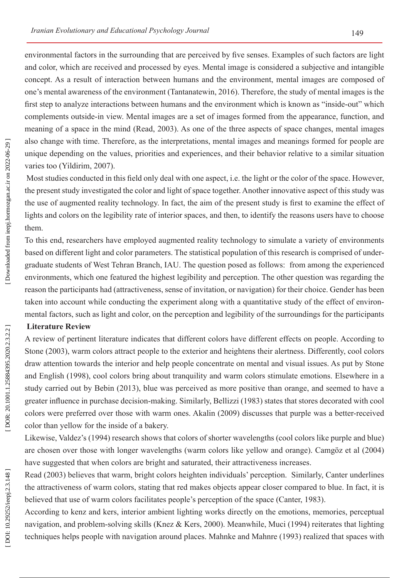environmental factors in the surrounding that are perceived by five senses. Examples of such factors are light and color, which are received and processed by eyes. Mental image is considered a subjective and intangible concept. As a result of interaction between humans and the environment, mental images are composed of one's mental awareness of the environment (Tantanatewin, 2016). Therefore, the study of mental images is the first step to analyze interactions between humans and the environment which is known as "inside-out" which complements outside-in view. Mental images are a set of images formed from the appearance, function, and meaning of a space in the mind (Read, 2003). As one of the three aspects of space changes, mental images also change with time. Therefore, as the interpretations, mental images and meanings formed for people are unique depending on the values, priorities and experiences, and their behavior relative to a similar situation varies too (Yildirim, 2007).

 Most studies conducted in this field only deal with one aspect, i.e. the light or the color of the space. However, the present study investigated the color and light of space together. Another innovative aspect of this study was the use of augmented reality technology. In fact, the aim of the present study is first to examine the effect of lights and colors on the legibility rate of interior spaces, and then, to identify the reasons users have to choose them.

To this end, researchers have employed augmented reality technology to simulate a variety of environments based on different light and color parameters. The statistical population of this research is comprised of under graduate students of West Tehran Branch, IAU. The question posed as follows: from among the experienced environments, which one featured the highest legibility and perception. The other question was regarding the reason the participants had (attractiveness, sense of invitation, or navigation) for their choice. Gender has been taken into account while conducting the experiment along with a quantitative study of the effect of environ mental factors, such as light and color, on the perception and legibility of the surroundings for the participants

# **Literature Review**

A review of pertinent literature indicates that different colors have different effects on people. According to Stone (2003), warm colors attract people to the exterior and heightens their alertness. Differently, cool colors draw attention towards the interior and help people concentrate on mental and visual issues. As put by Stone and English (1998), cool colors bring about tranquility and warm colors stimulate emotions. Elsewhere in a study carried out by Bebin (2013), blue was perceived as more positive than orange, and seemed to have a greater influence in purchase decision-making. Similarly, Bellizzi (1983) states that stores decorated with cool colors were preferred over those with warm ones. Akalin (2009) discusses that purple was a better-received color than yellow for the inside of a bakery.

Likewise, Valdez's (1994) research shows that colors of shorter wavelengths (cool colors like purple and blue) are chosen over those with longer wavelengths (warm colors like yellow and orange). Camgöz et al (2004) have suggested that when colors are bright and saturated, their attractiveness increases.

Read (2003) believes that warm, bright colors heighten individuals' perception. Similarly, Canter underlines the attractiveness of warm colors, stating that red makes objects appear closer compared to blue. In fact, it is believed that use of warm colors facilitates people's perception of the space (Canter, 1983).

According to kenz and kers, interior ambient lighting works directly on the emotions, memories, perceptual navigation, and problem-solving skills (Knez & Kers, 2000). Meanwhile, Muci (1994) reiterates that lighting techniques helps people with navigation around places. Mahnke and Mahnre (1993) realized that spaces with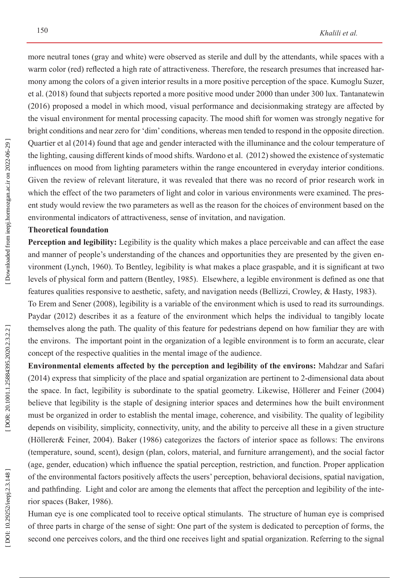more neutral tones (gray and white) were observed as sterile and dull by the attendants, while spaces with a warm color (red) reflected a high rate of attractiveness. Therefore, the research presumes that increased har mony among the colors of a given interior results in a more positive perception of the space. Kumoglu Suzer, et al. (2018) found that subjects reported a more positive mood under 2000 than under 300 lux. Tantanatewin (2016) proposed a model in which mood, visual performance and decisionmaking strategy are affected by the visual environment for mental processing capacity. The mood shift for women was strongly negative for bright conditions and near zero for 'dim' conditions, whereas men tended to respond in the opposite direction. Quartier et al (2014) found that age and gender interacted with the illuminance and the colour temperature of the lighting, causing different kinds of mood shifts. Wardono et al. (2012) showed the existence of systematic influences on mood from lighting parameters within the range encountered in everyday interior conditions. Given the review of relevant literature, it was revealed that there was no record of prior research work in which the effect of the two parameters of light and color in various environments were examined. The present study would review the two parameters as well as the reason for the choices of environment based on the environmental indicators of attractiveness, sense of invitation, and navigation.

## **Theoretical foundation**

**Perception and legibility:** Legibility is the quality which makes a place perceivable and can affect the ease and manner of people's understanding of the chances and opportunities they are presented by the given en vironment (Lynch, 1960). To Bentley, legibility is what makes a place graspable, and it is significant at two levels of physical form and pattern (Bentley, 1985). Elsewhere, a legible environment is defined as one that features qualities responsive to aesthetic, safety, and navigation needs (Bellizzi, Crowley, & Hasty, 1983).

To Erem and Sener (2008), legibility is a variable of the environment which is used to read its surroundings. Paydar (2012) describes it as a feature of the environment which helps the individual to tangibly locate themselves along the path. The quality of this feature for pedestrians depend on how familiar they are with the environs. The important point in the organization of a legible environment is to form an accurate, clear concept of the respective qualities in the mental image of the audience.

**Environmental elements affected by the perception and legibility of the environs:** Mahdzar and Safari (2014) express that simplicity of the place and spatial organization are pertinent to 2-dimensional data about the space. In fact, legibility is subordinate to the spatial geometry. Likewise, Höllerer and Feiner (2004) believe that legibility is the staple of designing interior spaces and determines how the built environment must be organized in order to establish the mental image, coherence, and visibility. The quality of legibility depends on visibility, simplicity, connectivity, unity, and the ability to perceive all these in a given structure (Höllerer& Feiner, 2004). Baker (1986) categorizes the factors of interior space as follows: The environs (temperature, sound, scent), design (plan, colors, material, and furniture arrangement), and the social factor (age, gender, education) which influence the spatial perception, restriction, and function. Proper application of the environmental factors positively affects the users' perception, behavioral decisions, spatial navigation, and pathfinding. Light and color are among the elements that affect the perception and legibility of the inte rior spaces (Baker, 1986).

Human eye is one complicated tool to receive optical stimulants. The structure of human eye is comprised of three parts in charge of the sense of sight: One part of the system is dedicated to perception of forms, the second one perceives colors, and the third one receives light and spatial organization. Referring to the signal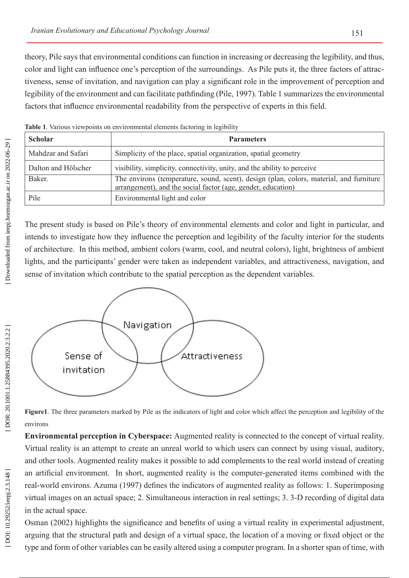theory, Pile says that environmental conditions can function in increasing or decreasing the legibility, and thus, color and light can influence one's perception of the surroundings. As Pile puts it, the three factors of attrac tiveness, sense of invitation, and navigation can play a significant role in the improvement of perception and legibility of the environment and can facilitate pathfinding (Pile, 1997). Table 1 summarizes the environmental factors that influence environmental readability from the perspective of experts in this field.

| <b>Scholar</b>      | <b>Parameters</b>                                                                                                                                         |
|---------------------|-----------------------------------------------------------------------------------------------------------------------------------------------------------|
| Mahdzar and Safari  | Simplicity of the place, spatial organization, spatial geometry                                                                                           |
| Dalton and Hölscher | visibility, simplicity, connectivity, unity, and the ability to perceive                                                                                  |
| Baker.              | The environs (temperature, sound, scent), design (plan, colors, material, and furniture  <br>arrangement), and the social factor (age, gender, education) |
| Pile                | Environmental light and color                                                                                                                             |

| Table 1. Various viewpoints on environmental elements factoring in legibility |
|-------------------------------------------------------------------------------|
|-------------------------------------------------------------------------------|

The present study is based on Pile's theory of environmental elements and color and light in particular, and intends to investigate how they influence the perception and legibility of the faculty interior for the students of architecture. In this method, ambient colors (warm, cool, and neutral colors), light, brightness of ambient lights, and the participants' gender were taken as independent variables, and attractiveness, navigation, and sense of invitation which contribute to the spatial perception as the dependent variables.



**Figure1** . The three parameters marked by Pile as the indicators of light and color which affect the perception and legibility of the environs

**Environmental perception in Cyberspace:** Augmented reality is connected to the concept of virtual reality. Virtual reality is an attempt to create an unreal world to which users can connect by using visual, auditory, and other tools. Augmented reality makes it possible to add complements to the real world instead of creating an artificial environment. In short, augmented reality is the computer-generated items combined with the real-world environs. Azuma (1997) defines the indicators of augmented reality as follows: 1. Superimposing virtual images on an actual space; 2. Simultaneous interaction in real settings; 3. 3-D recording of digital data in the actual space.

Osman (2002) highlights the significance and benefits of using a virtual reality in experimental adjustment, arguing that the structural path and design of a virtual space, the location of a moving or fixed object or the type and form of other variables can be easily altered using a computer program. In a shorter span of time, with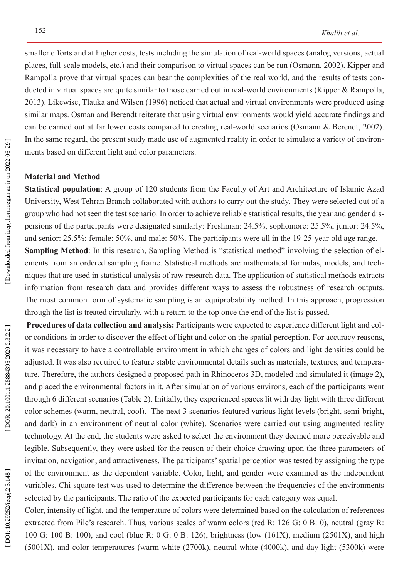smaller efforts and at higher costs, tests including the simulation of real-world spaces (analog versions, actual places, full-scale models, etc.) and their comparison to virtual spaces can be run (Osmann, 2002). Kipper and Rampolla prove that virtual spaces can bear the complexities of the real world, and the results of tests con ducted in virtual spaces are quite similar to those carried out in real-world environments (Kipper & Rampolla, 2013). Likewise, Tlauka and Wilsen (1996) noticed that actual and virtual environments were produced using similar maps. Osman and Berendt reiterate that using virtual environments would yield accurate findings and can be carried out at far lower costs compared to creating real-world scenarios (Osmann & Berendt, 2002). In the same regard, the present study made use of augmented reality in order to simulate a variety of environ ments based on different light and color parameters.

#### **Material and Method**

**Statistical population**: A group of 120 students from the Faculty of Art and Architecture of Islamic Azad University, West Tehran Branch collaborated with authors to carry out the study. They were selected out of a group who had not seen the test scenario. In order to achieve reliable statistical results, the year and gender dis persions of the participants were designated similarly: Freshman: 24.5%, sophomore: 25.5%, junior: 24.5%, and senior: 25.5%; female: 50%, and male: 50%. The participants were all in the 19-25-year-old age range. Sampling Method: In this research, Sampling Method is "statistical method" involving the selection of elements from an ordered sampling frame. Statistical methods are mathematical formulas, models, and tech niques that are used in statistical analysis of raw research data. The application of statistical methods extracts information from research data and provides different ways to assess the robustness of research outputs. The most common form of systematic sampling is an equiprobability method. In this approach, progression through the list is treated circularly, with a return to the top once the end of the list is passed.

**Procedures of data collection and analysis:** Participants were expected to experience different light and col or conditions in order to discover the effect of light and color on the spatial perception. For accuracy reasons, it was necessary to have a controllable environment in which changes of colors and light densities could be adjusted. It was also required to feature stable environmental details such as materials, textures, and tempera ture. Therefore, the authors designed a proposed path in Rhinoceros 3D, modeled and simulated it (image 2), and placed the environmental factors in it. After simulation of various environs, each of the participants went through 6 different scenarios (Table 2). Initially, they experienced spaces lit with day light with three different color schemes (warm, neutral, cool). The next 3 scenarios featured various light levels (bright, semi-bright, and dark) in an environment of neutral color (white). Scenarios were carried out using augmented reality technology. At the end, the students were asked to select the environment they deemed more perceivable and legible. Subsequently, they were asked for the reason of their choice drawing upon the three parameters of invitation, navigation, and attractiveness. The participants' spatial perception was tested by assigning the type of the environment as the dependent variable. Color, light, and gender were examined as the independent variables. Chi-square test was used to determine the difference between the frequencies of the environments selected by the participants. The ratio of the expected participants for each category was equal.

Color, intensity of light, and the temperature of colors were determined based on the calculation of references extracted from Pile's research. Thus, various scales of warm colors (red R: 126 G: 0 B: 0), neutral (gray R: 100 G: 100 B: 100), and cool (blue R: 0 G: 0 B: 126), brightness (low (161X), medium (2501X), and high (5001X), and color temperatures (warm white (2700k), neutral white (4000k), and day light (5300k) were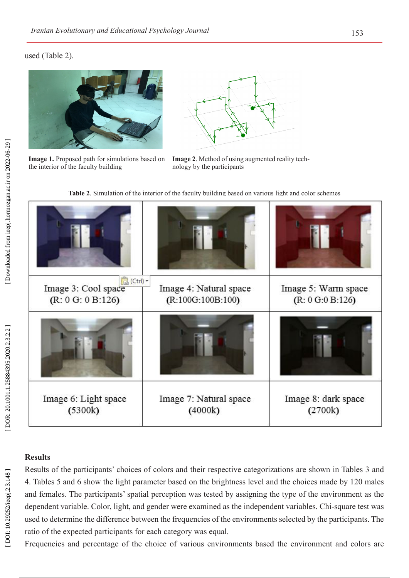#### used (Table 2).



**Image 1.** Proposed path for simulations based on **Image 2**. Method of using augmented reality techthe interior of the faculty building



nology by the participants



| ■(Ctrl) ▼<br>Image 3: Cool space<br>(R: 0 G: 0 B: 126) | Image 4: Natural space<br>(R:100G:100B:100) | Image 5: Warm space<br>(R: 0 G: 0 B: 126) |
|--------------------------------------------------------|---------------------------------------------|-------------------------------------------|
|                                                        |                                             |                                           |
| Image 6: Light space<br>(5300k)                        | Image 7: Natural space<br>(4000k)           | Image 8: dark space<br>(2700k)            |

# **Results**

Results of the participants' choices of colors and their respective categorizations are shown in Tables 3 and 4. Tables 5 and 6 show the light parameter based on the brightness level and the choices made by 120 males and females. The participants' spatial perception was tested by assigning the type of the environment as the dependent variable. Color, light, and gender were examined as the independent variables. Chi-square test was used to determine the difference between the frequencies of the environments selected by the participants. The ratio of the expected participants for each category was equal.

Frequencies and percentage of the choice of various environments based the environment and colors are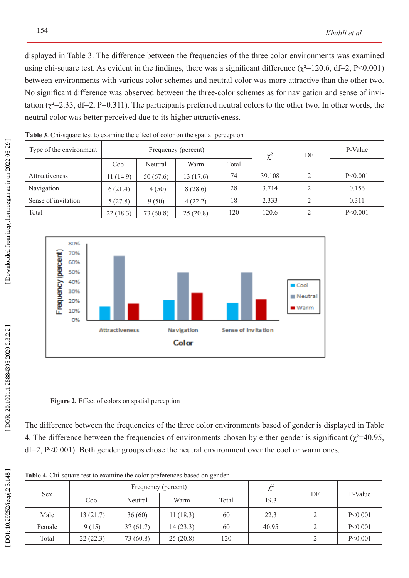displayed in Table 3. The difference between the frequencies of the three color environments was examined using chi-square test. As evident in the findings, there was a significant difference ( $\chi^2$ =120.6, df=2, P<0.001) between environments with various color schemes and neutral color was more attractive than the other two. No significant difference was observed between the three-color schemes as for navigation and sense of invi tation ( $\chi^2$ =2.33, df=2, P=0.311). The participants preferred neutral colors to the other two. In other words, the neutral color was better perceived due to its higher attractiveness.

| Type of the environment | Frequency (percent) |           |           |       | $\chi^2$ | DF            | P-Value   |
|-------------------------|---------------------|-----------|-----------|-------|----------|---------------|-----------|
|                         | Cool                | Neutral   | Warm      | Total |          |               |           |
| Attractiveness          | 11 (14.9)           | 50(67.6)  | 13 (17.6) | 74    | 39.108   | 2             | P < 0.001 |
| Navigation              | 6(21.4)             | 14 (50)   | 8(28.6)   | 28    | 3.714    | 2             | 0.156     |
| Sense of invitation     | 5(27.8)             | 9(50)     | 4(22.2)   | 18    | 2.333    |               | 0.311     |
| Total                   | 22(18.3)            | 73 (60.8) | 25(20.8)  | 120   | 120.6    | $\mathcal{D}$ | P < 0.001 |

**Table 3**. Chi-square test to examine the effect of color on the spatial perception



 **Figure 2.** Effect of colors on spatial perception

The difference between the frequencies of the three color environments based of gender is displayed in Table 4. The difference between the frequencies of environments chosen by either gender is significant ( $\chi^2$ =40.95, df=2, P<0.001). Both gender groups chose the neutral environment over the cool or warm ones.

**Table 4.** Chi-square test to examine the color preferences based on gender

|            | Frequency (percent) |           |          |       | $\gamma^2$<br>λ |    |           |
|------------|---------------------|-----------|----------|-------|-----------------|----|-----------|
| <b>Sex</b> | Cool                | Neutral   | Warm     | Total | 19.3            | DF | P-Value   |
| Male       | 13(21.7)            | 36(60)    | 11(18.3) | 60    | 22.3            |    | P < 0.001 |
| Female     | 9(15)               | 37(61.7)  | 14(23.3) | 60    | 40.95           |    | P < 0.001 |
| Total      | 22(22.3)            | 73 (60.8) | 25(20.8) | 120   |                 |    | P < 0.001 |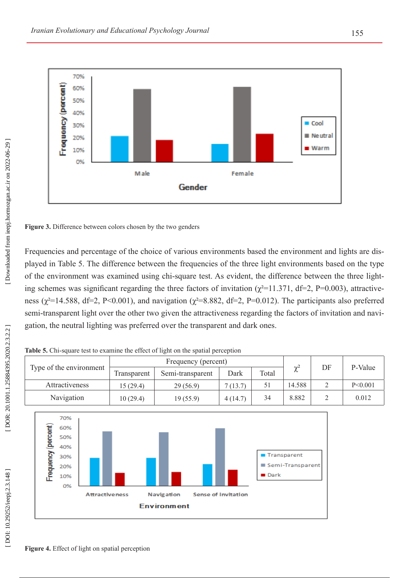

**Figure 3.** Difference between colors chosen by the two genders

Frequencies and percentage of the choice of various environments based the environment and lights are dis played in Table 5. The difference between the frequencies of the three light environments based on the type of the environment was examined using chi-square test. As evident, the difference between the three light ing schemes was significant regarding the three factors of invitation ( $\chi^2$ =11.371, df=2, P=0.003), attractiveness ( $\chi^2$ =14.588, df=2, P<0.001), and navigation ( $\chi^2$ =8.882, df=2, P=0.012). The participants also preferred semi-transparent light over the other two given the attractiveness regarding the factors of invitation and navi gation, the neutral lighting was preferred over the transparent and dark ones.

Type of the environment Frequency (percent) χ² DF P-Value Semi-transparent Attractiveness 15 (29.4) 29 (56.9) 7 (13.7) 51 14.588 2 P<0.001 Navigation 10 (29.4) 19 (55.9)  $4(14.7)$  34 8.882 2 0.012





Downloaded from ieepj.hormozgan.ac.ir on 2022-06-29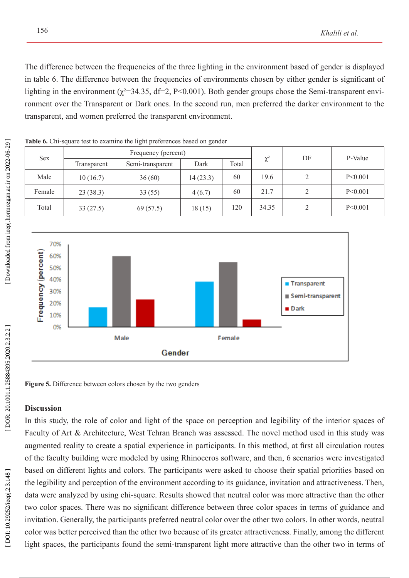The difference between the frequencies of the three lighting in the environment based of gender is displayed in table 6. The difference between the frequencies of environments chosen by either gender is significant of lighting in the environment ( $\chi^2$ =34.35, df=2, P<0.001). Both gender groups chose the Semi-transparent environment over the Transparent or Dark ones. In the second run, men preferred the darker environment to the transparent, and women preferred the transparent environment.

| <b>Sex</b> | Frequency (percent) |                  |          |       |          | DF | P-Value   |
|------------|---------------------|------------------|----------|-------|----------|----|-----------|
|            | Transparent         | Semi-transparent | Dark     | Total | $\chi^2$ |    |           |
| Male       | 10(16.7)            | 36(60)           | 14(23.3) | 60    | 19.6     | 2  | P < 0.001 |
| Female     | 23(38.3)            | 33(55)           | 4(6.7)   | 60    | 21.7     | 2  | P < 0.001 |
| Total      | 33(27.5)            | 69(57.5)         | 18(15)   | 120   | 34.35    | 2  | P < 0.001 |

Table 6. Chi-square test to examine the light preferences based on gender



**Figure 5.** Difference between colors chosen by the two genders

# **Discussion**

In this study, the role of color and light of the space on perception and legibility of the interior spaces of Faculty of Art & Architecture, West Tehran Branch was assessed. The novel method used in this study was augmented reality to create a spatial experience in participants. In this method, at first all circulation routes of the faculty building were modeled by using Rhinoceros software, and then, 6 scenarios were investigated based on different lights and colors. The participants were asked to choose their spatial priorities based on the legibility and perception of the environment according to its guidance, invitation and attractiveness. Then, data were analyzed by using chi-square. Results showed that neutral color was more attractive than the other two color spaces. There was no significant difference between three color spaces in terms of guidance and invitation. Generally, the participants preferred neutral color over the other two colors. In other words, neutral color was better perceived than the other two because of its greater attractiveness. Finally, among the different light spaces, the participants found the semi-transparent light more attractive than the other two in terms of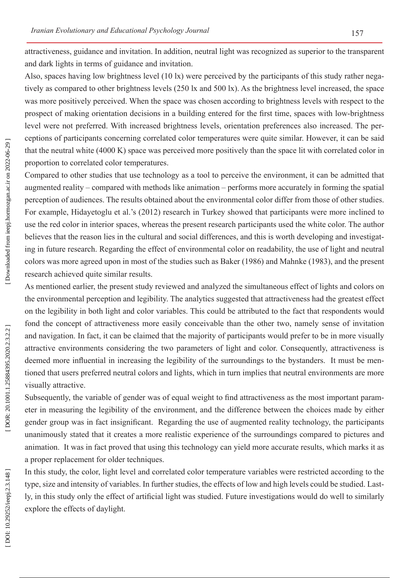attractiveness, guidance and invitation. In addition, neutral light was recognized as superior to the transparent and dark lights in terms of guidance and invitation.

Also, spaces having low brightness level (10 lx) were perceived by the participants of this study rather nega tively as compared to other brightness levels (250 lx and 500 lx). As the brightness level increased, the space was more positively perceived. When the space was chosen according to brightness levels with respect to the prospect of making orientation decisions in a building entered for the first time, spaces with low-brightness level were not preferred. With increased brightness levels, orientation preferences also increased. The per ceptions of participants concerning correlated color temperatures were quite similar. However, it can be said that the neutral white (4000 K) space was perceived more positively than the space lit with correlated color in proportion to correlated color temperatures.

Compared to other studies that use technology as a tool to perceive the environment, it can be admitted that augmented reality – compared with methods like animation – performs more accurately in forming the spatial perception of audiences. The results obtained about the environmental color differ from those of other studies. For example, Hidayetoglu et al.'s (2012) research in Turkey showed that participants were more inclined to use the red color in interior spaces, whereas the present research participants used the white color. The author believes that the reason lies in the cultural and social differences, and this is worth developing and investigating in future research. Regarding the effect of environmental color on readability, the use of light and neutral colors was more agreed upon in most of the studies such as Baker (1986) and Mahnke (1983), and the present research achieved quite similar results.

As mentioned earlier, the present study reviewed and analyzed the simultaneous effect of lights and colors on the environmental perception and legibility. The analytics suggested that attractiveness had the greatest effect on the legibility in both light and color variables. This could be attributed to the fact that respondents would fond the concept of attractiveness more easily conceivable than the other two, namely sense of invitation and navigation. In fact, it can be claimed that the majority of participants would prefer to be in more visually attractive environments considering the two parameters of light and color. Consequently, attractiveness is deemed more influential in increasing the legibility of the surroundings to the bystanders. It must be mentioned that users preferred neutral colors and lights, which in turn implies that neutral environments are more visually attractive.

Subsequently, the variable of gender was of equal weight to find attractiveness as the most important param eter in measuring the legibility of the environment, and the difference between the choices made by either gender group was in fact insignificant. Regarding the use of augmented reality technology, the participants unanimously stated that it creates a more realistic experience of the surroundings compared to pictures and animation. It was in fact proved that using this technology can yield more accurate results, which marks it as a proper replacement for older techniques.

In this study, the color, light level and correlated color temperature variables were restricted according to the type, size and intensity of variables. In further studies, the effects of low and high levels could be studied. Last ly, in this study only the effect of artificial light was studied. Future investigations would do well to similarly explore the effects of daylight.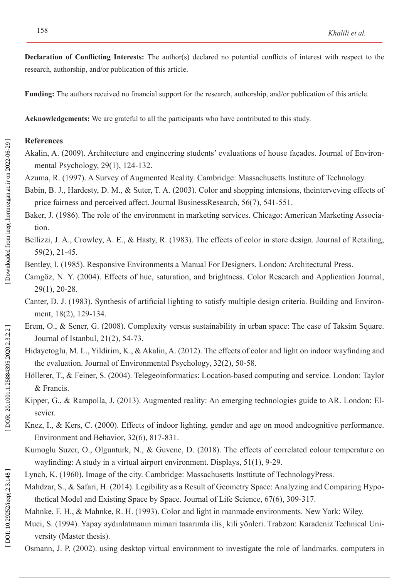**Declaration of Conflicting Interests:** The author(s) declared no potential conflicts of interest with respect to the research, authorship, and/or publication of this article.

**Funding:** The authors received no financial support for the research, authorship, and/or publication of this article.

**Acknowledgements:** We are grateful to all the participants who have contributed to this study.

## **References**

- Akalin, A. (2009). Architecture and engineering students' evaluations of house façades. Journal of Environ mental Psychology, 29(1), 124-132.
- Azuma, R. (1997). A Survey of Augmented Reality. Cambridge: Massachusetts Institute of Technology.
- Babin, B. J., Hardesty, D. M., & Suter, T. A. (2003). Color and shopping intensions, theinterveving effects of price fairness and perceived affect. Journal BusinessResearch, 56(7), 541-551.
- Baker, J. (1986). The role of the environment in marketing services. Chicago: American Marketing Associa tion.
- Bellizzi, J. A., Crowley, A. E., & Hasty, R. (1983). The effects of color in store design. Journal of Retailing, 59(2), 21-45.
- Bentley, I. (1985). Responsive Environments a Manual For Designers. London: Architectural Press.
- Camgöz, N. Y. (2004). Effects of hue, saturation, and brightness. Color Research and Application Journal, 29(1), 20-28.
- Canter, D. J. (1983). Synthesis of artificial lighting to satisfy multiple design criteria. Building and Environ ment, 18(2), 129-134.
- Erem, O., & Sener, G. (2008). Complexity versus sustainability in urban space: The case of Taksim Square. Journal of Istanbul, 21(2), 54-73.
- Hidayetoglu, M. L., Yildirim, K., & Akalin, A. (2012). The effects of color and light on indoor wayfinding and the evaluation. Journal of Environmental Psychology, 32(2), 50-58.
- Höllerer, T., & Feiner, S. (2004). Telegeoinformatics: Location-based computing and service. London: Taylor & Francis.
- Kipper, G., & Rampolla, J. (2013). Augmented reality: An emerging technologies guide to AR. London: Elsevier.
- Knez, I., & Kers, C. (2000). Effects of indoor lighting, gender and age on mood andcognitive performance. Environment and Behavior, 32(6), 817-831.
- Kumoglu Suzer, O., Olgunturk, N., & Guvenc, D. (2018). The effects of correlated colour temperature on wayfinding: A study in a virtual airport environment. Displays, 51(1), 9-29.
- Lynch, K. (1960). Image of the city. Cambridge: Massachusetts Insttitute of TechnologyPress.
- Mahdzar, S., & Safari, H. (2014). Legibility as a Result of Geometry Space: Analyzing and Comparing Hypothetical Model and Existing Space by Space. Journal of Life Science, 67(6), 309-317.
- Mahnke, F. H., & Mahnke, R. H. (1993). Color and light in manmade environments. New York: Wiley.
- Muci, S. (1994). Yapay aydınlatmanın mimari tasarımla ilis¸ kili yönleri. Trabzon: Karadeniz Technical Uni versity (Master thesis).
- Osmann, J. P. (2002). using desktop virtual environment to investigate the role of landmarks. computers in